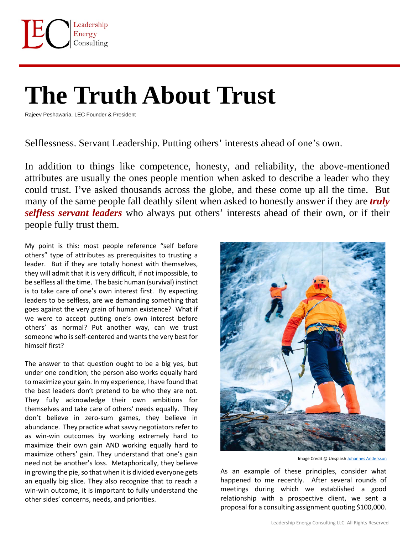

## **The Truth About Trust**

Rajeev Peshawaria, LEC Founder & President

Selflessness. Servant Leadership. Putting others' interests ahead of one's own.

In addition to things like competence, honesty, and reliability, the above-mentioned attributes are usually the ones people mention when asked to describe a leader who they could trust. I've asked thousands across the globe, and these come up all the time. But many of the same people fall deathly silent when asked to honestly answer if they are *truly selfless servant leaders* who always put others' interests ahead of their own, or if their people fully trust them.

My point is this: most people reference "self before others" type of attributes as prerequisites to trusting a leader. But if they are totally honest with themselves, they will admit that it is very difficult, if not impossible, to be selfless all the time. The basic human (survival) instinct is to take care of one's own interest first. By expecting leaders to be selfless, are we demanding something that goes against the very grain of human existence? What if we were to accept putting one's own interest before others' as normal? Put another way, can we trust someone who is self-centered and wants the very best for himself first?

The answer to that question ought to be a big yes, but under one condition; the person also works equally hard to maximize your gain. In my experience, I have found that the best leaders don't pretend to be who they are not. They fully acknowledge their own ambitions for themselves and take care of others' needs equally. They don't believe in zero-sum games, they believe in abundance. They practice what savvy negotiators refer to as win-win outcomes by working extremely hard to maximize their own gain AND working equally hard to maximize others' gain. They understand that one's gain need not be another's loss. Metaphorically, they believe in growing the pie, so that when it is divided everyone gets an equally big slice. They also recognize that to reach a win-win outcome, it is important to fully understand the other sides' concerns, needs, and priorities.



Image Credit @ Unsplas[h Johannes Andersson](https://unsplash.com/photos/IqBsJY-buKo)

As an example of these principles, consider what happened to me recently. After several rounds of meetings during which we established a good relationship with a prospective client, we sent a proposal for a consulting assignment quoting \$100,000.